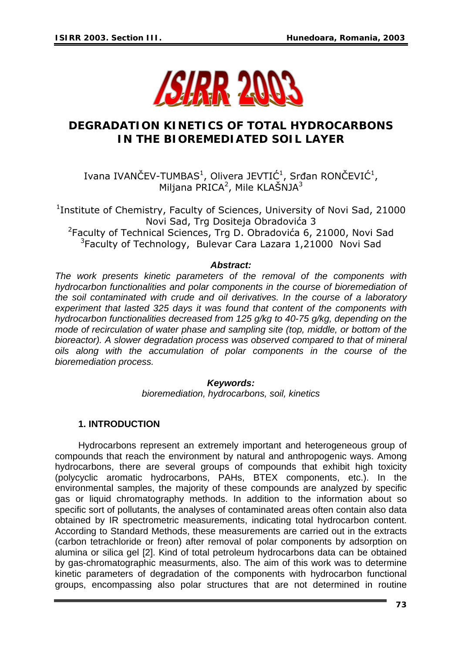

# **DEGRADATION KINETICS OF TOTAL HYDROCARBONS IN THE BIOREMEDIATED SOIL LAYER**

Ivana IVANČEV-TUMBAS<sup>1</sup>, Olivera JEVTIĆ<sup>1</sup>, Srđan RONČEVIĆ<sup>1</sup>, Miljana PRICA<sup>2</sup>, Mile KLAŠNJA<sup>3</sup>

<sup>1</sup>Institute of Chemistry, Faculty of Sciences, University of Novi Sad, 21000 Novi Sad, Trg Dositeja Obradovića 3 <sup>2</sup>Faculty of Technical Sciences, Trg D. Obradovića 6, 21000, Novi Sad <sup>3</sup>Faculty of Technology, Bulevar Cara Lazara 1,21000 Novi Sad

#### *Abstract:*

*The work presents kinetic parameters of the removal of the components with hydrocarbon functionalities and polar components in the course of bioremediation of the soil contaminated with crude and oil derivatives. In the course of a laboratory experiment that lasted 325 days it was found that content of the components with hydrocarbon functionalities decreased from 125 g/kg to 40-75 g/kg, depending on the mode of recirculation of water phase and sampling site (top, middle, or bottom of the bioreactor). A slower degradation process was observed compared to that of mineral oils along with the accumulation of polar components in the course of the bioremediation process.* 

#### *Keywords:*

*bioremediation, hydrocarbons, soil, kinetics* 

#### **1. INTRODUCTION**

Hydrocarbons represent an extremely important and heterogeneous group of compounds that reach the environment by natural and anthropogenic ways. Among hydrocarbons, there are several groups of compounds that exhibit high toxicity (polycyclic aromatic hydrocarbons, PAHs, BTEX components, etc.). In the environmental samples, the majority of these compounds are analyzed by specific gas or liquid chromatography methods. In addition to the information about so specific sort of pollutants, the analyses of contaminated areas often contain also data obtained by IR spectrometric measurements, indicating total hydrocarbon content. According to Standard Methods, these measurements are carried out in the extracts (carbon tetrachloride or freon) after removal of polar components by adsorption on alumina or silica gel [2]. Kind of total petroleum hydrocarbons data can be obtained by gas-chromatographic measurments, also. The aim of this work was to determine kinetic parameters of degradation of the components with hydrocarbon functional groups, encompassing also polar structures that are not determined in routine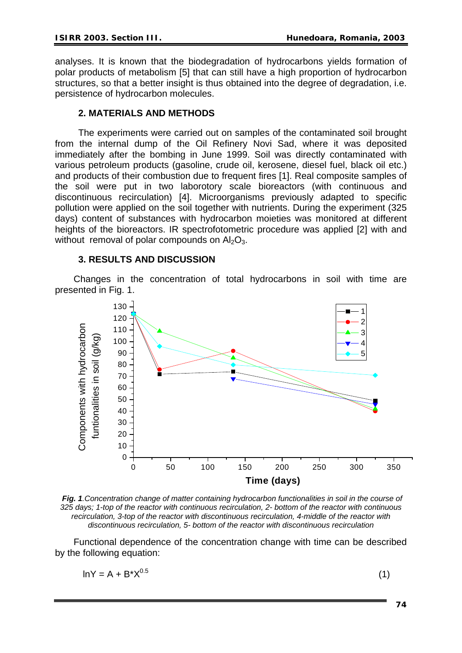analyses. It is known that the biodegradation of hydrocarbons yields formation of polar products of metabolism [5] that can still have a high proportion of hydrocarbon structures, so that a better insight is thus obtained into the degree of degradation, i.e. persistence of hydrocarbon molecules.

## **2. MATERIALS AND METHODS**

The experiments were carried out on samples of the contaminated soil brought from the internal dump of the Oil Refinery Novi Sad, where it was deposited immediately after the bombing in June 1999. Soil was directly contaminated with various petroleum products (gasoline, crude oil, kerosene, diesel fuel, black oil etc.) and products of their combustion due to frequent fires [1]. Real composite samples of the soil were put in two laborotory scale bioreactors (with continuous and discontinuous recirculation) [4]. Microorganisms previously adapted to specific pollution were applied on the soil together with nutrients. During the experiment (325 days) content of substances with hydrocarbon moieties was monitored at different heights of the bioreactors. IR spectrofotometric procedure was applied [2] with and without removal of polar compounds on  $Al_2O_3$ .

## **3. RESULTS AND DISCUSSION**

Changes in the concentration of total hydrocarbons in soil with time are presented in Fig. 1.



*Fig. 1.Concentration change of matter containing hydrocarbon functionalities in soil in the course of 325 days; 1-top of the reactor with continuous recirculation, 2- bottom of the reactor with continuous recirculation, 3-top of the reactor with discontinuous recirculation, 4-middle of the reactor with discontinuous recirculation, 5- bottom of the reactor with discontinuous recirculation*

Functional dependence of the concentration change with time can be described by the following equation:

$$
ln Y = A + B^* X^{0.5}
$$
 (1)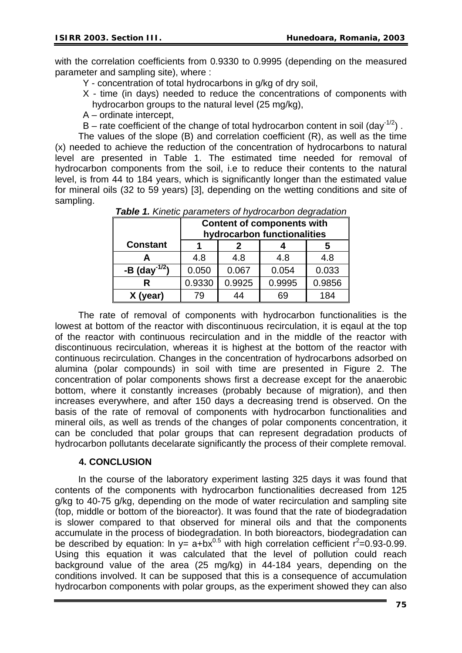with the correlation coefficients from 0.9330 to 0.9995 (depending on the measured parameter and sampling site), where :

Y - concentration of total hydrocarbons in g/kg of dry soil,

- X time (in days) needed to reduce the concentrations of components with hydrocarbon groups to the natural level (25 mg/kg),
- A ordinate intercept,
- B rate coefficient of the change of total hydrocarbon content in soil (day<sup>-1/2</sup>).

The values of the slope (B) and correlation coefficient (R), as well as the time (x) needed to achieve the reduction of the concentration of hydrocarbons to natural level are presented in Table 1. The estimated time needed for removal of hydrocarbon components from the soil, i.e to reduce their contents to the natural level, is from 44 to 184 years, which is significantly longer than the estimated value for mineral oils (32 to 59 years) [3], depending on the wetting conditions and site of sampling.

|                           | <b>Content of components with</b><br>hydrocarbon functionalities |        |        |        |
|---------------------------|------------------------------------------------------------------|--------|--------|--------|
| <b>Constant</b>           |                                                                  |        |        |        |
|                           | 4.8                                                              | 4.8    | 4.8    | 4.8    |
| -B (day <sup>-1/2</sup> ) | 0.050                                                            | 0.067  | 0.054  | 0.033  |
|                           | 0.9330                                                           | 0.9925 | 0.9995 | 0.9856 |
| X (year)                  | 79                                                               | 44     | 69     | 184    |

*Table 1. Kinetic parameters of hydrocarbon degradation* 

The rate of removal of components with hydrocarbon functionalities is the lowest at bottom of the reactor with discontinuous recirculation, it is eqaul at the top of the reactor with continuous recirculation and in the middle of the reactor with discontinuous recirculation, whereas it is highest at the bottom of the reactor with continuous recirculation. Changes in the concentration of hydrocarbons adsorbed on alumina (polar compounds) in soil with time are presented in Figure 2. The concentration of polar components shows first a decrease except for the anaerobic bottom, where it constantly increases (probably because of migration), and then increases everywhere, and after 150 days a decreasing trend is observed. On the basis of the rate of removal of components with hydrocarbon functionalities and mineral oils, as well as trends of the changes of polar components concentration, it can be concluded that polar groups that can represent degradation products of hydrocarbon pollutants decelarate significantly the process of their complete removal.

#### **4. CONCLUSION**

In the course of the laboratory experiment lasting 325 days it was found that contents of the components with hydrocarbon functionalities decreased from 125 g/kg to 40-75 g/kg, depending on the mode of water recirculation and sampling site (top, middle or bottom of the bioreactor). It was found that the rate of biodegradation is slower compared to that observed for mineral oils and that the components accumulate in the process of biodegradation. In both bioreactors, biodegradation can be described by equation: In  $y = a + bx^{0.5}$  with high correlation cefficient  $r^2 = 0.93 - 0.99$ . Using this equation it was calculated that the level of pollution could reach background value of the area (25 mg/kg) in 44-184 years, depending on the conditions involved. It can be supposed that this is a consequence of accumulation hydrocarbon components with polar groups, as the experiment showed they can also